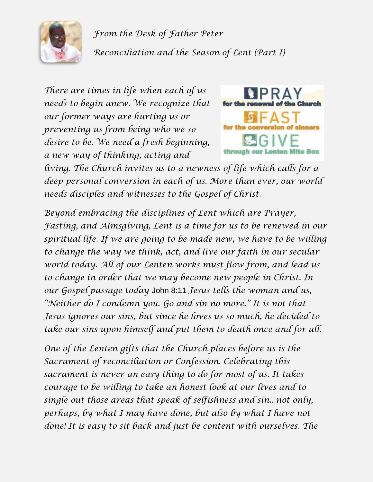

*From the Desk of Father Peter Reconciliation and the Season of Lent (Part I)*

*There are times in life when each of us needs to begin anew. We recognize that our former ways are hurting us or preventing us from being who we so desire to be. We need a fresh beginning, a new way of thinking, acting and* 



*living. The Church invites us to a newness of life which calls for a deep personal conversion in each of us. More than ever, our world needs disciples and witnesses to the Gospel of Christ.*

*Beyond embracing the disciplines of Lent which are Prayer, Fasting, and Almsgiving, Lent is a time for us to be renewed in our spiritual life. If we are going to be made new, we have to be willing to change the way we think, act, and live our faith in our secular world today. All of our Lenten works must flow from, and lead us to change in order that we may become new people in Christ. In our Gospel passage today* John 8:11 *Jesus tells the woman and us, "Neither do I condemn you. Go and sin no more." It is not that Jesus ignores our sins, but since he loves us so much, he decided to take our sins upon himself and put them to death once and for all.*

*One of the Lenten gifts that the Church places before us is the Sacrament of reconciliation or Confession. Celebrating this sacrament is never an easy thing to do for most of us. It takes courage to be willing to take an honest look at our lives and to single out those areas that speak of selfishness and sin...not only, perhaps, by what I may have done, but also by what I have not done! It is easy to sit back and just be content with ourselves. The*